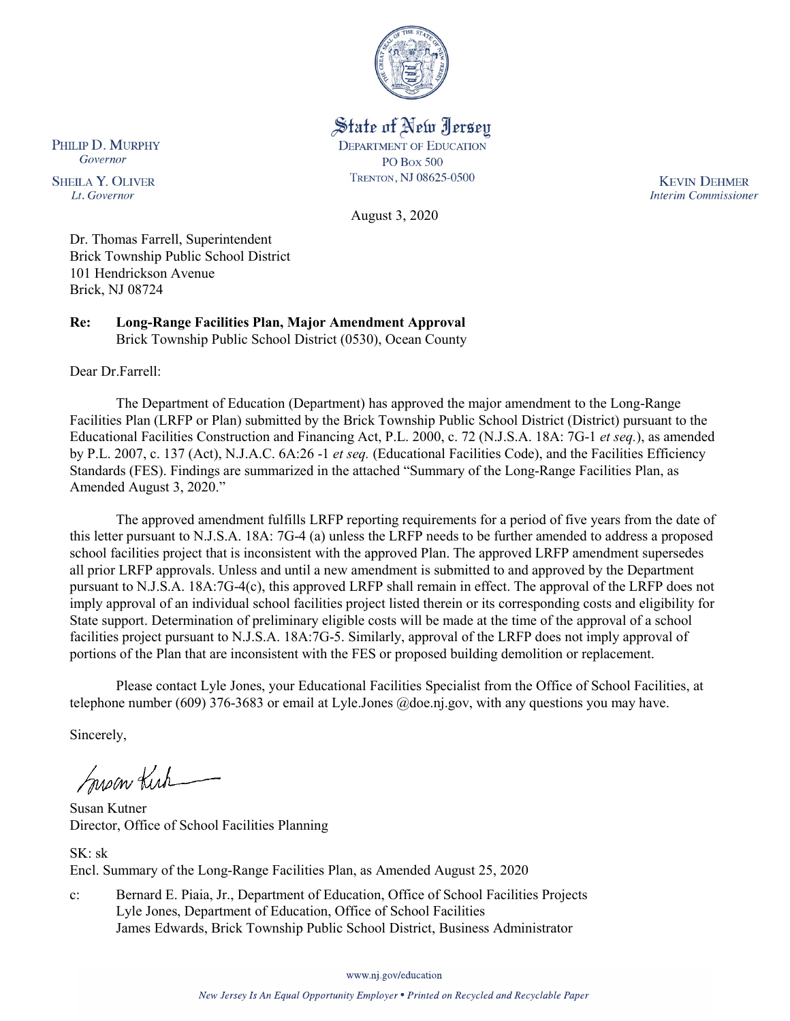

State of New Jersey

**DEPARTMENT OF EDUCATION** 

**PO Box 500** TRENTON, NJ 08625-0500

August 3, 2020

**KEVIN DEHMER Interim Commissioner** 

Dr. Thomas Farrell, Superintendent Brick Township Public School District 101 Hendrickson Avenue Brick, NJ 08724

**Re: Long-Range Facilities Plan, Major Amendment Approval**  Brick Township Public School District (0530), Ocean County

Dear Dr.Farrell:

PHILIP D. MURPHY

Governor

**SHEILA Y. OLIVER** 

Lt. Governor

The Department of Education (Department) has approved the major amendment to the Long-Range Facilities Plan (LRFP or Plan) submitted by the Brick Township Public School District (District) pursuant to the Educational Facilities Construction and Financing Act, P.L. 2000, c. 72 (N.J.S.A. 18A: 7G-1 *et seq.*), as amended by P.L. 2007, c. 137 (Act), N.J.A.C. 6A:26 -1 *et seq.* (Educational Facilities Code), and the Facilities Efficiency Standards (FES). Findings are summarized in the attached "Summary of the Long-Range Facilities Plan, as Amended August 3, 2020."

The approved amendment fulfills LRFP reporting requirements for a period of five years from the date of this letter pursuant to N.J.S.A. 18A: 7G-4 (a) unless the LRFP needs to be further amended to address a proposed school facilities project that is inconsistent with the approved Plan. The approved LRFP amendment supersedes all prior LRFP approvals. Unless and until a new amendment is submitted to and approved by the Department pursuant to N.J.S.A. 18A:7G-4(c), this approved LRFP shall remain in effect. The approval of the LRFP does not imply approval of an individual school facilities project listed therein or its corresponding costs and eligibility for State support. Determination of preliminary eligible costs will be made at the time of the approval of a school facilities project pursuant to N.J.S.A. 18A:7G-5. Similarly, approval of the LRFP does not imply approval of portions of the Plan that are inconsistent with the FES or proposed building demolition or replacement.

Please contact Lyle Jones, your Educational Facilities Specialist from the Office of School Facilities, at telephone number (609) 376-3683 or email at Lyle.Jones @doe.nj.gov, with any questions you may have.

Sincerely,

Susan Kich

Susan Kutner Director, Office of School Facilities Planning

SK: sk Encl. Summary of the Long-Range Facilities Plan, as Amended August 25, 2020

c: Bernard E. Piaia, Jr., Department of Education, Office of School Facilities Projects Lyle Jones, Department of Education, Office of School Facilities James Edwards, Brick Township Public School District, Business Administrator

www.nj.gov/education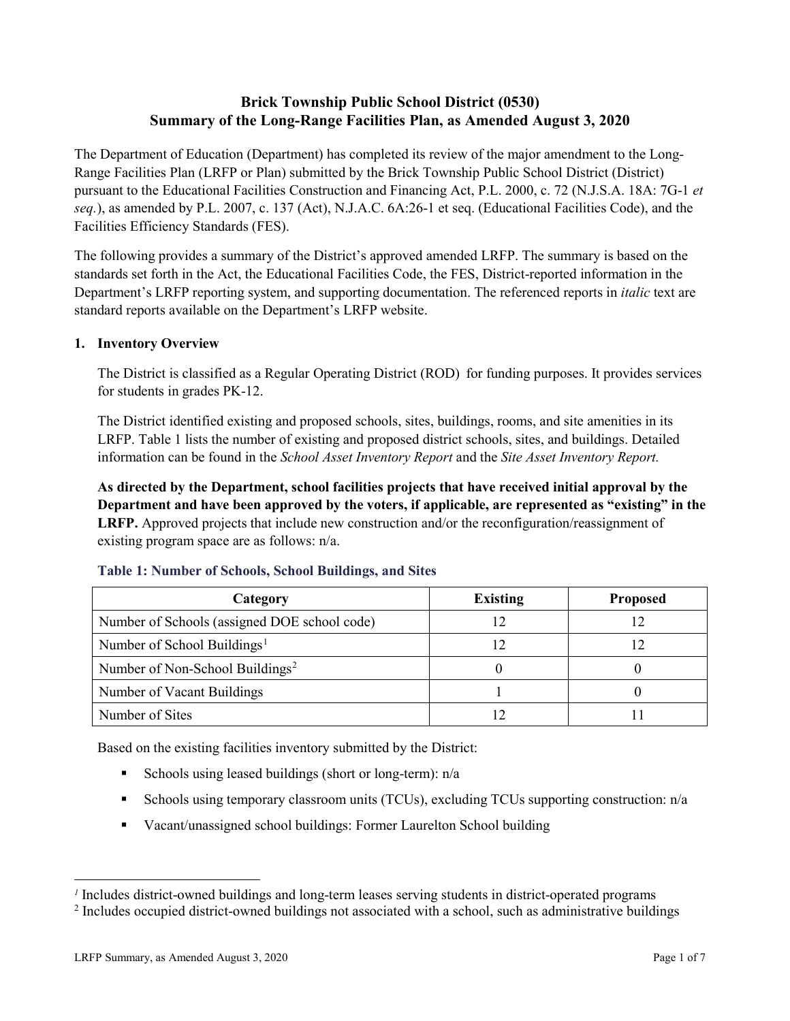# **Brick Township Public School District (0530) Summary of the Long-Range Facilities Plan, as Amended August 3, 2020**

The Department of Education (Department) has completed its review of the major amendment to the Long-Range Facilities Plan (LRFP or Plan) submitted by the Brick Township Public School District (District) pursuant to the Educational Facilities Construction and Financing Act, P.L. 2000, c. 72 (N.J.S.A. 18A: 7G-1 *et seq.*), as amended by P.L. 2007, c. 137 (Act), N.J.A.C. 6A:26-1 et seq. (Educational Facilities Code), and the Facilities Efficiency Standards (FES).

The following provides a summary of the District's approved amended LRFP. The summary is based on the standards set forth in the Act, the Educational Facilities Code, the FES, District-reported information in the Department's LRFP reporting system, and supporting documentation. The referenced reports in *italic* text are standard reports available on the Department's LRFP website.

# **1. Inventory Overview**

The District is classified as a Regular Operating District (ROD) for funding purposes. It provides services for students in grades PK-12.

The District identified existing and proposed schools, sites, buildings, rooms, and site amenities in its LRFP. Table 1 lists the number of existing and proposed district schools, sites, and buildings. Detailed information can be found in the *School Asset Inventory Report* and the *Site Asset Inventory Report.*

**As directed by the Department, school facilities projects that have received initial approval by the Department and have been approved by the voters, if applicable, are represented as "existing" in the LRFP.** Approved projects that include new construction and/or the reconfiguration/reassignment of existing program space are as follows: n/a.

| Category                                     | <b>Existing</b> | <b>Proposed</b> |
|----------------------------------------------|-----------------|-----------------|
| Number of Schools (assigned DOE school code) |                 |                 |
| Number of School Buildings <sup>1</sup>      |                 |                 |
| Number of Non-School Buildings <sup>2</sup>  |                 |                 |
| Number of Vacant Buildings                   |                 |                 |
| Number of Sites                              |                 |                 |

### **Table 1: Number of Schools, School Buildings, and Sites**

Based on the existing facilities inventory submitted by the District:

- Schools using leased buildings (short or long-term):  $n/a$
- Schools using temporary classroom units (TCUs), excluding TCUs supporting construction:  $n/a$
- Vacant/unassigned school buildings: Former Laurelton School building

 $\overline{a}$ 

<span id="page-1-1"></span><span id="page-1-0"></span>*<sup>1</sup>* Includes district-owned buildings and long-term leases serving students in district-operated programs

<sup>&</sup>lt;sup>2</sup> Includes occupied district-owned buildings not associated with a school, such as administrative buildings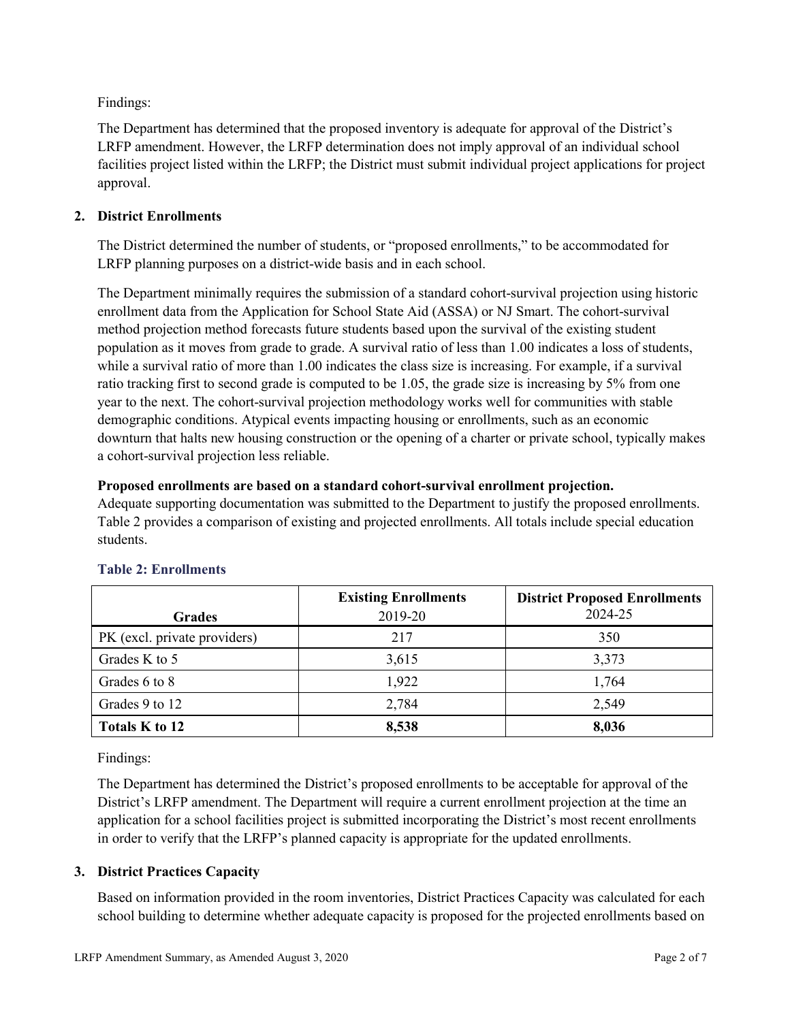Findings:

The Department has determined that the proposed inventory is adequate for approval of the District's LRFP amendment. However, the LRFP determination does not imply approval of an individual school facilities project listed within the LRFP; the District must submit individual project applications for project approval.

# **2. District Enrollments**

The District determined the number of students, or "proposed enrollments," to be accommodated for LRFP planning purposes on a district-wide basis and in each school.

The Department minimally requires the submission of a standard cohort-survival projection using historic enrollment data from the Application for School State Aid (ASSA) or NJ Smart. The cohort-survival method projection method forecasts future students based upon the survival of the existing student population as it moves from grade to grade. A survival ratio of less than 1.00 indicates a loss of students, while a survival ratio of more than 1.00 indicates the class size is increasing. For example, if a survival ratio tracking first to second grade is computed to be 1.05, the grade size is increasing by 5% from one year to the next. The cohort-survival projection methodology works well for communities with stable demographic conditions. Atypical events impacting housing or enrollments, such as an economic downturn that halts new housing construction or the opening of a charter or private school, typically makes a cohort-survival projection less reliable.

# **Proposed enrollments are based on a standard cohort-survival enrollment projection.**

Adequate supporting documentation was submitted to the Department to justify the proposed enrollments. Table 2 provides a comparison of existing and projected enrollments. All totals include special education students.

|                              | <b>Existing Enrollments</b> | <b>District Proposed Enrollments</b> |
|------------------------------|-----------------------------|--------------------------------------|
| <b>Grades</b>                | 2019-20                     | 2024-25                              |
| PK (excl. private providers) | 217                         | 350                                  |
| Grades K to 5                | 3,615                       | 3,373                                |
| Grades 6 to 8                | 1,922                       | 1,764                                |
| Grades 9 to 12               | 2,784                       | 2,549                                |
| Totals K to 12               | 8,538                       | 8,036                                |

# **Table 2: Enrollments**

Findings:

The Department has determined the District's proposed enrollments to be acceptable for approval of the District's LRFP amendment. The Department will require a current enrollment projection at the time an application for a school facilities project is submitted incorporating the District's most recent enrollments in order to verify that the LRFP's planned capacity is appropriate for the updated enrollments.

# **3. District Practices Capacity**

Based on information provided in the room inventories, District Practices Capacity was calculated for each school building to determine whether adequate capacity is proposed for the projected enrollments based on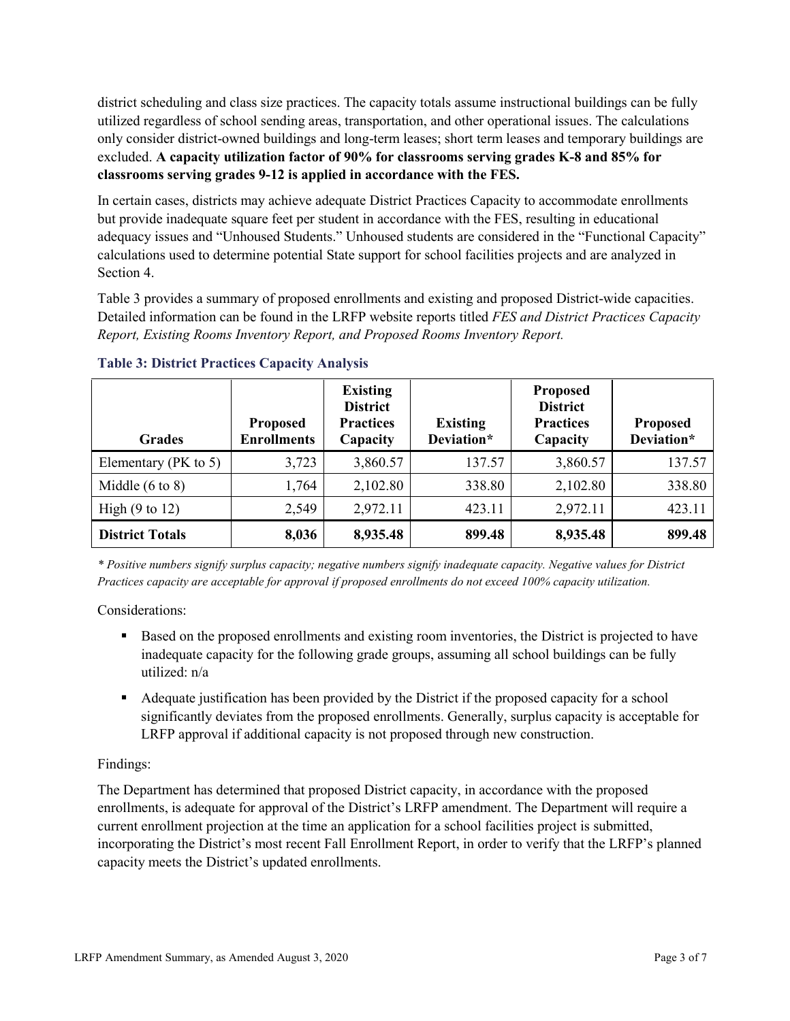district scheduling and class size practices. The capacity totals assume instructional buildings can be fully utilized regardless of school sending areas, transportation, and other operational issues. The calculations only consider district-owned buildings and long-term leases; short term leases and temporary buildings are excluded. **A capacity utilization factor of 90% for classrooms serving grades K-8 and 85% for classrooms serving grades 9-12 is applied in accordance with the FES.**

In certain cases, districts may achieve adequate District Practices Capacity to accommodate enrollments but provide inadequate square feet per student in accordance with the FES, resulting in educational adequacy issues and "Unhoused Students." Unhoused students are considered in the "Functional Capacity" calculations used to determine potential State support for school facilities projects and are analyzed in Section 4.

Table 3 provides a summary of proposed enrollments and existing and proposed District-wide capacities. Detailed information can be found in the LRFP website reports titled *FES and District Practices Capacity Report, Existing Rooms Inventory Report, and Proposed Rooms Inventory Report.*

| <b>Grades</b>              | <b>Proposed</b><br><b>Enrollments</b> | <b>Existing</b><br><b>District</b><br><b>Practices</b><br>Capacity | <b>Existing</b><br>Deviation* | Proposed<br><b>District</b><br><b>Practices</b><br>Capacity | <b>Proposed</b><br>Deviation* |
|----------------------------|---------------------------------------|--------------------------------------------------------------------|-------------------------------|-------------------------------------------------------------|-------------------------------|
| Elementary ( $PK$ to 5)    | 3,723                                 | 3,860.57                                                           | 137.57                        | 3,860.57                                                    | 137.57                        |
| Middle $(6 \text{ to } 8)$ | 1,764                                 | 2,102.80                                                           | 338.80                        | 2,102.80                                                    | 338.80                        |
| High $(9 \text{ to } 12)$  | 2,549                                 | 2,972.11                                                           | 423.11                        | 2,972.11                                                    | 423.11                        |
| <b>District Totals</b>     | 8,036                                 | 8,935.48                                                           | 899.48                        | 8,935.48                                                    | 899.48                        |

**Table 3: District Practices Capacity Analysis**

*\* Positive numbers signify surplus capacity; negative numbers signify inadequate capacity. Negative values for District Practices capacity are acceptable for approval if proposed enrollments do not exceed 100% capacity utilization.*

Considerations:

- Based on the proposed enrollments and existing room inventories, the District is projected to have inadequate capacity for the following grade groups, assuming all school buildings can be fully utilized: n/a
- Adequate justification has been provided by the District if the proposed capacity for a school significantly deviates from the proposed enrollments. Generally, surplus capacity is acceptable for LRFP approval if additional capacity is not proposed through new construction.

# Findings:

The Department has determined that proposed District capacity, in accordance with the proposed enrollments, is adequate for approval of the District's LRFP amendment. The Department will require a current enrollment projection at the time an application for a school facilities project is submitted, incorporating the District's most recent Fall Enrollment Report, in order to verify that the LRFP's planned capacity meets the District's updated enrollments.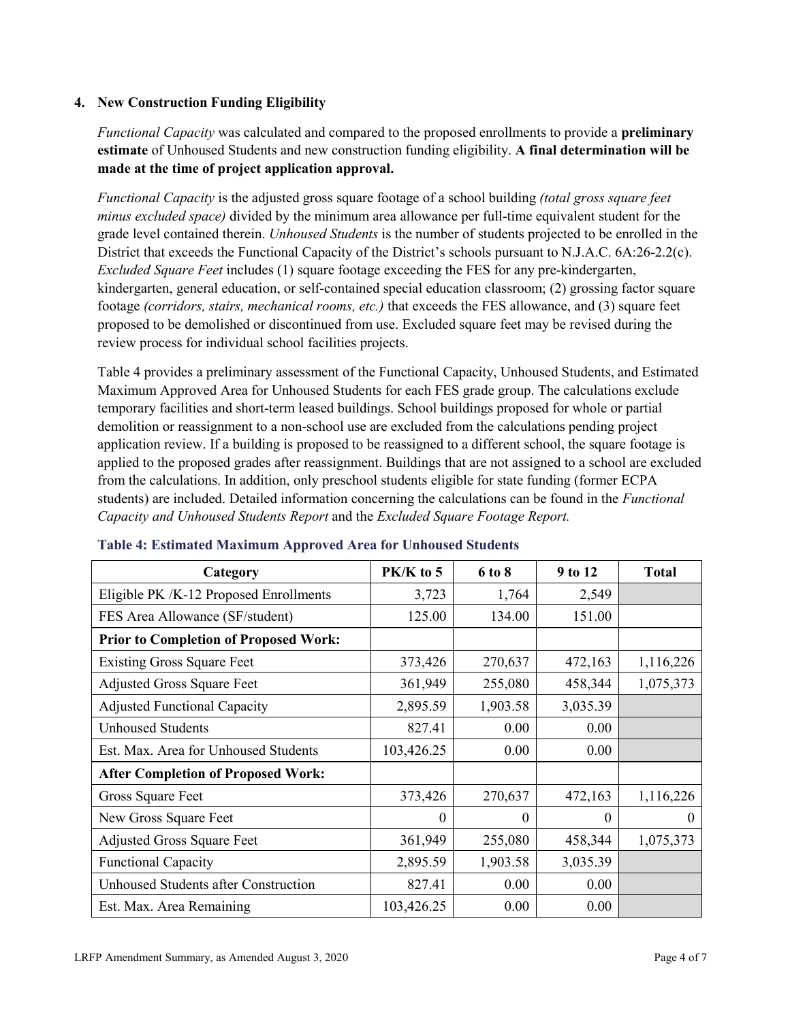### **4. New Construction Funding Eligibility**

*Functional Capacity* was calculated and compared to the proposed enrollments to provide a **preliminary estimate** of Unhoused Students and new construction funding eligibility. **A final determination will be made at the time of project application approval.**

*Functional Capacity* is the adjusted gross square footage of a school building *(total gross square feet minus excluded space)* divided by the minimum area allowance per full-time equivalent student for the grade level contained therein. *Unhoused Students* is the number of students projected to be enrolled in the District that exceeds the Functional Capacity of the District's schools pursuant to N.J.A.C. 6A:26-2.2(c). *Excluded Square Feet* includes (1) square footage exceeding the FES for any pre-kindergarten, kindergarten, general education, or self-contained special education classroom; (2) grossing factor square footage *(corridors, stairs, mechanical rooms, etc.)* that exceeds the FES allowance, and (3) square feet proposed to be demolished or discontinued from use. Excluded square feet may be revised during the review process for individual school facilities projects.

Table 4 provides a preliminary assessment of the Functional Capacity, Unhoused Students, and Estimated Maximum Approved Area for Unhoused Students for each FES grade group. The calculations exclude temporary facilities and short-term leased buildings. School buildings proposed for whole or partial demolition or reassignment to a non-school use are excluded from the calculations pending project application review. If a building is proposed to be reassigned to a different school, the square footage is applied to the proposed grades after reassignment. Buildings that are not assigned to a school are excluded from the calculations. In addition, only preschool students eligible for state funding (former ECPA students) are included. Detailed information concerning the calculations can be found in the *Functional Capacity and Unhoused Students Report* and the *Excluded Square Footage Report.*

| Category                                     | $PK/K$ to 5 | 6 to 8   | 9 to 12  | <b>Total</b> |
|----------------------------------------------|-------------|----------|----------|--------------|
| Eligible PK /K-12 Proposed Enrollments       | 3,723       | 1,764    | 2,549    |              |
| FES Area Allowance (SF/student)              | 125.00      | 134.00   | 151.00   |              |
| <b>Prior to Completion of Proposed Work:</b> |             |          |          |              |
| <b>Existing Gross Square Feet</b>            | 373,426     | 270,637  | 472,163  | 1,116,226    |
| <b>Adjusted Gross Square Feet</b>            | 361,949     | 255,080  | 458,344  | 1,075,373    |
| <b>Adjusted Functional Capacity</b>          | 2,895.59    | 1,903.58 | 3,035.39 |              |
| <b>Unhoused Students</b>                     | 827.41      | 0.00     | 0.00     |              |
| Est. Max. Area for Unhoused Students         | 103,426.25  | 0.00     | 0.00     |              |
| <b>After Completion of Proposed Work:</b>    |             |          |          |              |
| Gross Square Feet                            | 373,426     | 270,637  | 472,163  | 1,116,226    |
| New Gross Square Feet                        | $\theta$    | 0        | $\theta$ | $\theta$     |
| <b>Adjusted Gross Square Feet</b>            | 361,949     | 255,080  | 458,344  | 1,075,373    |
| <b>Functional Capacity</b>                   | 2,895.59    | 1,903.58 | 3,035.39 |              |
| Unhoused Students after Construction         | 827.41      | 0.00     | 0.00     |              |
| Est. Max. Area Remaining                     | 103,426.25  | 0.00     | 0.00     |              |

### **Table 4: Estimated Maximum Approved Area for Unhoused Students**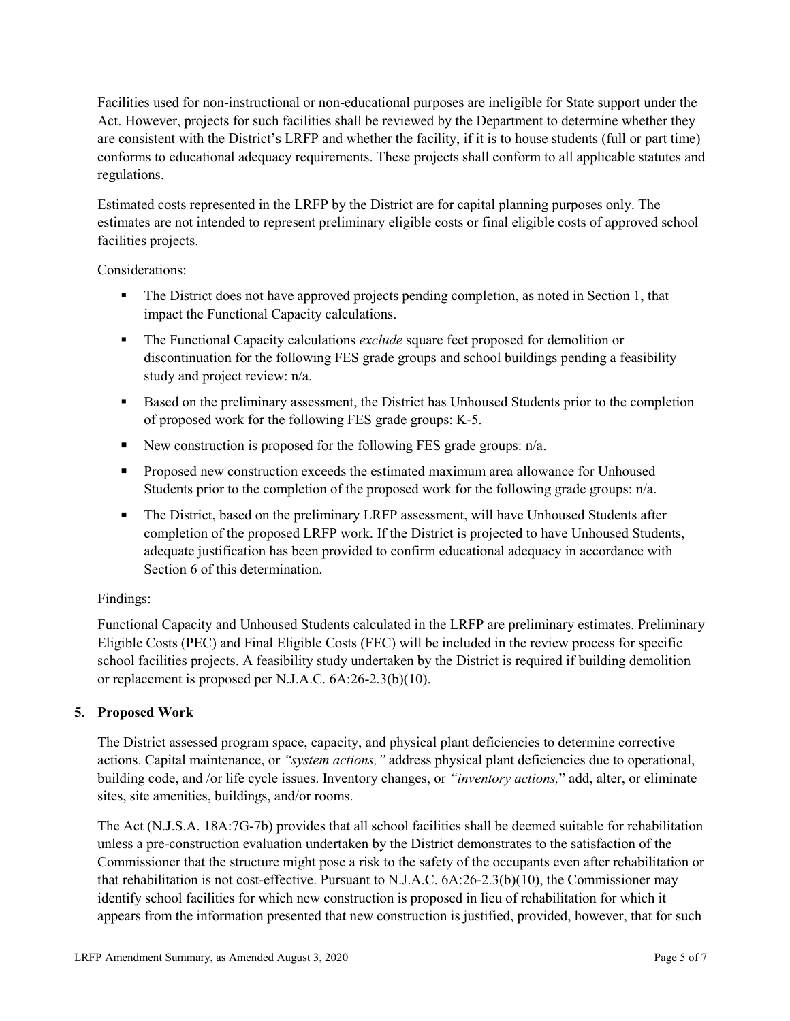Facilities used for non-instructional or non-educational purposes are ineligible for State support under the Act. However, projects for such facilities shall be reviewed by the Department to determine whether they are consistent with the District's LRFP and whether the facility, if it is to house students (full or part time) conforms to educational adequacy requirements. These projects shall conform to all applicable statutes and regulations.

Estimated costs represented in the LRFP by the District are for capital planning purposes only. The estimates are not intended to represent preliminary eligible costs or final eligible costs of approved school facilities projects.

Considerations:

- The District does not have approved projects pending completion, as noted in Section 1, that impact the Functional Capacity calculations.
- **The Functional Capacity calculations** *exclude* square feet proposed for demolition or discontinuation for the following FES grade groups and school buildings pending a feasibility study and project review: n/a.
- Based on the preliminary assessment, the District has Unhoused Students prior to the completion of proposed work for the following FES grade groups: K-5.
- New construction is proposed for the following FES grade groups: n/a.
- Proposed new construction exceeds the estimated maximum area allowance for Unhoused Students prior to the completion of the proposed work for the following grade groups: n/a.
- The District, based on the preliminary LRFP assessment, will have Unhoused Students after completion of the proposed LRFP work. If the District is projected to have Unhoused Students, adequate justification has been provided to confirm educational adequacy in accordance with Section 6 of this determination.

# Findings:

Functional Capacity and Unhoused Students calculated in the LRFP are preliminary estimates. Preliminary Eligible Costs (PEC) and Final Eligible Costs (FEC) will be included in the review process for specific school facilities projects. A feasibility study undertaken by the District is required if building demolition or replacement is proposed per N.J.A.C. 6A:26-2.3(b)(10).

# **5. Proposed Work**

The District assessed program space, capacity, and physical plant deficiencies to determine corrective actions. Capital maintenance, or *"system actions,"* address physical plant deficiencies due to operational, building code, and /or life cycle issues. Inventory changes, or *"inventory actions,*" add, alter, or eliminate sites, site amenities, buildings, and/or rooms.

The Act (N.J.S.A. 18A:7G-7b) provides that all school facilities shall be deemed suitable for rehabilitation unless a pre-construction evaluation undertaken by the District demonstrates to the satisfaction of the Commissioner that the structure might pose a risk to the safety of the occupants even after rehabilitation or that rehabilitation is not cost-effective. Pursuant to N.J.A.C. 6A:26-2.3(b)(10), the Commissioner may identify school facilities for which new construction is proposed in lieu of rehabilitation for which it appears from the information presented that new construction is justified, provided, however, that for such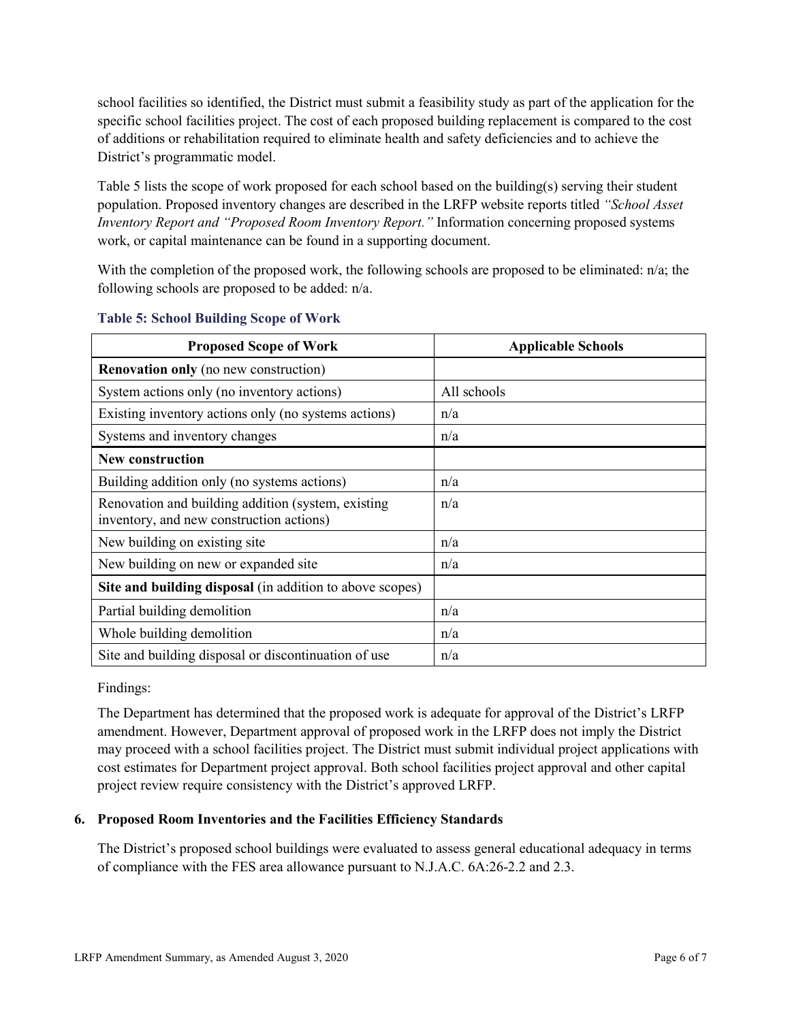school facilities so identified, the District must submit a feasibility study as part of the application for the specific school facilities project. The cost of each proposed building replacement is compared to the cost of additions or rehabilitation required to eliminate health and safety deficiencies and to achieve the District's programmatic model.

Table 5 lists the scope of work proposed for each school based on the building(s) serving their student population. Proposed inventory changes are described in the LRFP website reports titled *"School Asset Inventory Report and "Proposed Room Inventory Report."* Information concerning proposed systems work, or capital maintenance can be found in a supporting document.

With the completion of the proposed work, the following schools are proposed to be eliminated:  $n/a$ ; the following schools are proposed to be added: n/a.

| <b>Proposed Scope of Work</b>                                                                  | <b>Applicable Schools</b> |
|------------------------------------------------------------------------------------------------|---------------------------|
| <b>Renovation only</b> (no new construction)                                                   |                           |
| System actions only (no inventory actions)                                                     | All schools               |
| Existing inventory actions only (no systems actions)                                           | n/a                       |
| Systems and inventory changes                                                                  | n/a                       |
| <b>New construction</b>                                                                        |                           |
| Building addition only (no systems actions)                                                    | n/a                       |
| Renovation and building addition (system, existing<br>inventory, and new construction actions) | n/a                       |
| New building on existing site                                                                  | n/a                       |
| New building on new or expanded site                                                           | n/a                       |
| Site and building disposal (in addition to above scopes)                                       |                           |
| Partial building demolition                                                                    | n/a                       |
| Whole building demolition                                                                      | n/a                       |
| Site and building disposal or discontinuation of use                                           | n/a                       |

### **Table 5: School Building Scope of Work**

Findings:

The Department has determined that the proposed work is adequate for approval of the District's LRFP amendment. However, Department approval of proposed work in the LRFP does not imply the District may proceed with a school facilities project. The District must submit individual project applications with cost estimates for Department project approval. Both school facilities project approval and other capital project review require consistency with the District's approved LRFP.

# **6. Proposed Room Inventories and the Facilities Efficiency Standards**

The District's proposed school buildings were evaluated to assess general educational adequacy in terms of compliance with the FES area allowance pursuant to N.J.A.C. 6A:26-2.2 and 2.3.